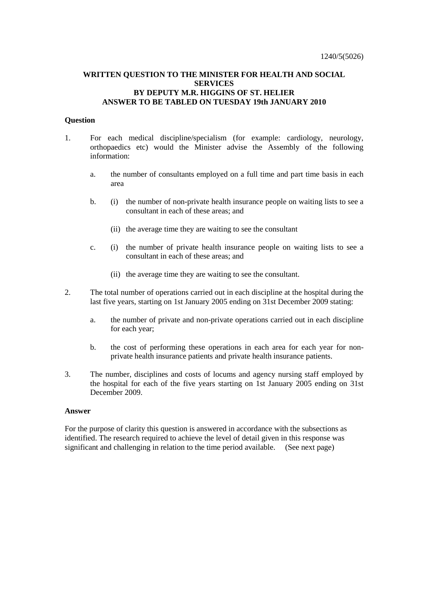# **WRITTEN QUESTION TO THE MINISTER FOR HEALTH AND SOCIAL SERVICES BY DEPUTY M.R. HIGGINS OF ST. HELIER ANSWER TO BE TABLED ON TUESDAY 19th JANUARY 2010**

### **Question**

- 1. For each medical discipline/specialism (for example: cardiology, neurology, orthopaedics etc) would the Minister advise the Assembly of the following information:
	- a. the number of consultants employed on a full time and part time basis in each area
	- b. (i) the number of non-private health insurance people on waiting lists to see a consultant in each of these areas; and
		- (ii) the average time they are waiting to see the consultant
	- c. (i) the number of private health insurance people on waiting lists to see a consultant in each of these areas; and
		- (ii) the average time they are waiting to see the consultant.
- 2. The total number of operations carried out in each discipline at the hospital during the last five years, starting on 1st January 2005 ending on 31st December 2009 stating:
	- a. the number of private and non-private operations carried out in each discipline for each year;
	- b. the cost of performing these operations in each area for each year for nonprivate health insurance patients and private health insurance patients.
- 3. The number, disciplines and costs of locums and agency nursing staff employed by the hospital for each of the five years starting on 1st January 2005 ending on 31st December 2009.

#### **Answer**

For the purpose of clarity this question is answered in accordance with the subsections as identified. The research required to achieve the level of detail given in this response was significant and challenging in relation to the time period available. (See next page)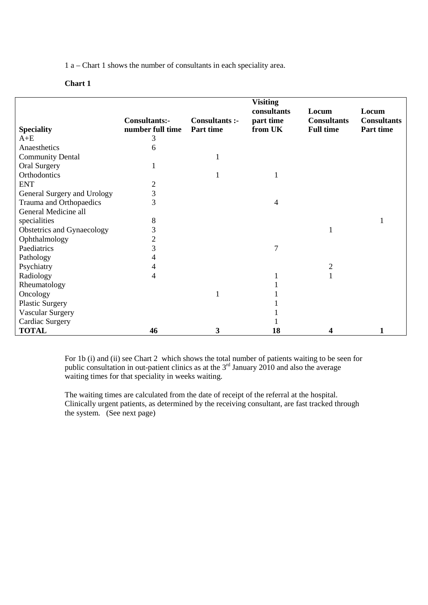1 a – Chart 1 shows the number of consultants in each speciality area.

## **Chart 1**

|                             |                                   |                             | <b>Visiting</b><br>consultants | Locum                                  | Locum                           |
|-----------------------------|-----------------------------------|-----------------------------|--------------------------------|----------------------------------------|---------------------------------|
| <b>Speciality</b>           | Consultants:-<br>number full time | Consultants :-<br>Part time | part time<br>from UK           | <b>Consultants</b><br><b>Full time</b> | <b>Consultants</b><br>Part time |
| $A + E$                     | 3                                 |                             |                                |                                        |                                 |
| Anaesthetics                | 6                                 |                             |                                |                                        |                                 |
| <b>Community Dental</b>     |                                   |                             |                                |                                        |                                 |
| Oral Surgery                |                                   |                             |                                |                                        |                                 |
| Orthodontics                |                                   |                             |                                |                                        |                                 |
| <b>ENT</b>                  | $\overline{c}$                    |                             |                                |                                        |                                 |
| General Surgery and Urology | 3                                 |                             |                                |                                        |                                 |
| Trauma and Orthopaedics     | 3                                 |                             | $\overline{4}$                 |                                        |                                 |
| General Medicine all        |                                   |                             |                                |                                        |                                 |
| specialities                | 8                                 |                             |                                |                                        |                                 |
| Obstetrics and Gynaecology  | 3                                 |                             |                                |                                        |                                 |
| Ophthalmology               | $\overline{2}$                    |                             |                                |                                        |                                 |
| Paediatrics                 | 3                                 |                             | $\overline{7}$                 |                                        |                                 |
| Pathology                   |                                   |                             |                                |                                        |                                 |
| Psychiatry                  | 4                                 |                             |                                | $\overline{2}$                         |                                 |
| Radiology                   | 4                                 |                             |                                |                                        |                                 |
| Rheumatology                |                                   |                             |                                |                                        |                                 |
| Oncology                    |                                   | 1                           |                                |                                        |                                 |
| <b>Plastic Surgery</b>      |                                   |                             |                                |                                        |                                 |
| <b>Vascular Surgery</b>     |                                   |                             |                                |                                        |                                 |
| Cardiac Surgery             |                                   |                             |                                |                                        |                                 |
| <b>TOTAL</b>                | 46                                | 3                           | 18                             | 4                                      |                                 |

For 1b (i) and (ii) see Chart 2 which shows the total number of patients waiting to be seen for public consultation in out-patient clinics as at the  $3<sup>rd</sup>$  January 2010 and also the average waiting times for that speciality in weeks waiting.

The waiting times are calculated from the date of receipt of the referral at the hospital. Clinically urgent patients, as determined by the receiving consultant, are fast tracked through the system. (See next page)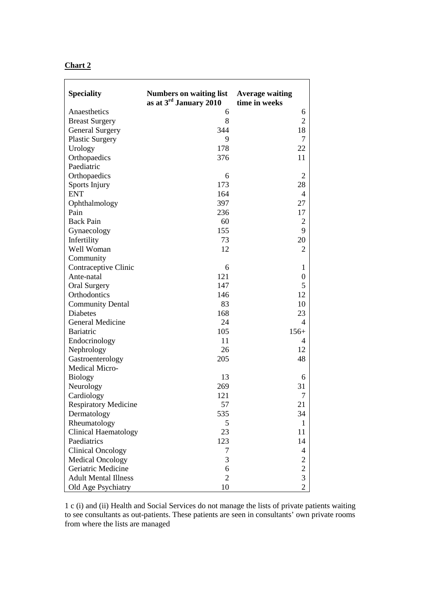| и<br>Ш<br>ш |  |
|-------------|--|
|             |  |

| <b>Speciality</b>           | <b>Numbers on waiting list</b><br>as at $3rd$ January 2010 | <b>Average waiting</b><br>time in weeks |
|-----------------------------|------------------------------------------------------------|-----------------------------------------|
| Anaesthetics                | 6                                                          | 6                                       |
| <b>Breast Surgery</b>       | 8                                                          | $\overline{2}$                          |
| <b>General Surgery</b>      | 344                                                        | 18                                      |
| <b>Plastic Surgery</b>      | 9                                                          | $\tau$                                  |
| Urology                     | 178                                                        | 22                                      |
| Orthopaedics                | 376                                                        | 11                                      |
| Paediatric                  |                                                            |                                         |
| Orthopaedics                | 6                                                          | $\overline{2}$                          |
| Sports Injury               | 173                                                        | 28                                      |
| <b>ENT</b>                  | 164                                                        | 4                                       |
| Ophthalmology               | 397                                                        | 27                                      |
| Pain                        | 236                                                        | 17                                      |
| <b>Back Pain</b>            | 60                                                         | $\overline{2}$                          |
| Gynaecology                 | 155                                                        | 9                                       |
| Infertility                 | 73                                                         | 20                                      |
| Well Woman                  | 12                                                         | $\overline{2}$                          |
| Community                   |                                                            |                                         |
| Contraceptive Clinic        | 6                                                          | $\mathbf{1}$                            |
| Ante-natal                  | 121                                                        | $\boldsymbol{0}$                        |
| <b>Oral Surgery</b>         | 147                                                        | 5                                       |
| Orthodontics                | 146                                                        | 12                                      |
| <b>Community Dental</b>     | 83                                                         | 10                                      |
| <b>Diabetes</b>             | 168                                                        | 23                                      |
| General Medicine            | 24                                                         | $\overline{\mathcal{A}}$                |
| <b>Bariatric</b>            | 105                                                        | $156+$                                  |
| Endocrinology               | 11                                                         | 4                                       |
| Nephrology                  | 26                                                         | 12                                      |
| Gastroenterology            | 205                                                        | 48                                      |
| Medical Micro-              |                                                            |                                         |
| <b>Biology</b>              | 13                                                         | 6                                       |
| Neurology                   | 269                                                        | 31                                      |
| Cardiology                  | 121                                                        | $\overline{7}$                          |
| <b>Respiratory Medicine</b> | 57                                                         | 21                                      |
| Dermatology                 | 535                                                        | 34                                      |
| Rheumatology                | 5                                                          | $\mathbf{1}$                            |
| Clinical Haematology        | 23                                                         | 11                                      |
| Paediatrics                 | 123                                                        | 14                                      |
| <b>Clinical Oncology</b>    | 7                                                          | 4                                       |
| <b>Medical Oncology</b>     | 3                                                          |                                         |
| Geriatric Medicine          | 6                                                          | $\frac{2}{3}$                           |
| <b>Adult Mental Illness</b> | $\overline{2}$                                             |                                         |
| Old Age Psychiatry          | 10                                                         | $\overline{2}$                          |

1 c (i) and (ii) Health and Social Services do not manage the lists of private patients waiting to see consultants as out-patients. These patients are seen in consultants' own private rooms from where the lists are managed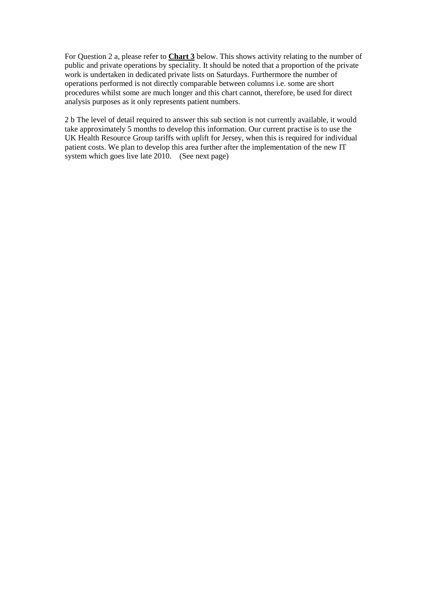For Question 2 a, please refer to **Chart 3** below. This shows activity relating to the number of public and private operations by speciality. It should be noted that a proportion of the private work is undertaken in dedicated private lists on Saturdays. Furthermore the number of operations performed is not directly comparable between columns i.e. some are short procedures whilst some are much longer and this chart cannot, therefore, be used for direct analysis purposes as it only represents patient numbers.

2 b The level of detail required to answer this sub section is not currently available, it would take approximately 5 months to develop this information. Our current practise is to use the UK Health Resource Group tariffs with uplift for Jersey, when this is required for individual patient costs. We plan to develop this area further after the implementation of the new IT system which goes live late 2010. (See next page)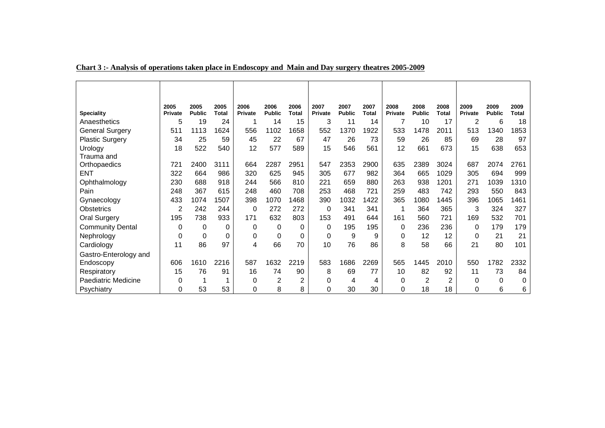| <b>Speciality</b>          | 2005<br>Private | 2005<br><b>Public</b> | 2005<br><b>Total</b> | 2006<br><b>Private</b> | 2006<br><b>Public</b> | 2006<br>Total | 2007<br>Private | 2007<br><b>Public</b> | 2007<br><b>Total</b> | 2008<br>Private | 2008<br><b>Public</b> | 2008<br><b>Total</b> | 2009<br>Private | 2009<br><b>Public</b> | 2009<br><b>Total</b> |
|----------------------------|-----------------|-----------------------|----------------------|------------------------|-----------------------|---------------|-----------------|-----------------------|----------------------|-----------------|-----------------------|----------------------|-----------------|-----------------------|----------------------|
| Anaesthetics               | 5               | 19                    | 24                   |                        | 14                    | 15            | 3               | 11                    | 14                   |                 | 10                    | 17                   | $\overline{2}$  | 6                     | 18                   |
| <b>General Surgery</b>     | 511             | 1113                  | 1624                 | 556                    | 1102                  | 1658          | 552             | 1370                  | 1922                 | 533             | 1478                  | 2011                 | 513             | 1340                  | 1853                 |
| <b>Plastic Surgery</b>     | 34              | 25                    | 59                   | 45                     | 22                    | 67            | 47              | 26                    | 73                   | 59              | 26                    | 85                   | 69              | 28                    | 97                   |
| Urology                    | 18              | 522                   | 540                  | 12                     | 577                   | 589           | 15              | 546                   | 561                  | 12              | 661                   | 673                  | 15              | 638                   | 653                  |
| Trauma and                 |                 |                       |                      |                        |                       |               |                 |                       |                      |                 |                       |                      |                 |                       |                      |
| Orthopaedics               | 721             | 2400                  | 3111                 | 664                    | 2287                  | 2951          | 547             | 2353                  | 2900                 | 635             | 2389                  | 3024                 | 687             | 2074                  | 2761                 |
| <b>ENT</b>                 | 322             | 664                   | 986                  | 320                    | 625                   | 945           | 305             | 677                   | 982                  | 364             | 665                   | 1029                 | 305             | 694                   | 999                  |
| Ophthalmology              | 230             | 688                   | 918                  | 244                    | 566                   | 810           | 221             | 659                   | 880                  | 263             | 938                   | 1201                 | 271             | 1039                  | 1310                 |
| Pain                       | 248             | 367                   | 615                  | 248                    | 460                   | 708           | 253             | 468                   | 721                  | 259             | 483                   | 742                  | 293             | 550                   | 843                  |
| Gynaecology                | 433             | 1074                  | 1507                 | 398                    | 1070                  | 1468          | 390             | 1032                  | 1422                 | 365             | 1080                  | 1445                 | 396             | 1065                  | 1461                 |
| <b>Obstetrics</b>          | 2               | 242                   | 244                  | 0                      | 272                   | 272           | 0               | 341                   | 341                  |                 | 364                   | 365                  | 3               | 324                   | 327                  |
| <b>Oral Surgery</b>        | 195             | 738                   | 933                  | 171                    | 632                   | 803           | 153             | 491                   | 644                  | 161             | 560                   | 721                  | 169             | 532                   | 701                  |
| <b>Community Dental</b>    | 0               | 0                     |                      | $\Omega$               | 0                     | 0             | $\Omega$        | 195                   | 195                  | 0               | 236                   | 236                  | 0               | 179                   | 179                  |
| Nephrology                 | 0               | 0                     | 0                    | 0                      | 0                     | 0             | $\Omega$        | 9                     | 9                    | 0               | 12                    | 12                   | $\Omega$        | 21                    | 21                   |
| Cardiology                 | 11              | 86                    | 97                   | 4                      | 66                    | 70            | 10              | 76                    | 86                   | 8               | 58                    | 66                   | 21              | 80                    | 101                  |
| Gastro-Enterology and      |                 |                       |                      |                        |                       |               |                 |                       |                      |                 |                       |                      |                 |                       |                      |
| Endoscopy                  | 606             | 1610                  | 2216                 | 587                    | 1632                  | 2219          | 583             | 1686                  | 2269                 | 565             | 1445                  | 2010                 | 550             | 1782                  | 2332                 |
| Respiratory                | 15              | 76                    | 91                   | 16                     | 74                    | 90            | 8               | 69                    | 77                   | 10              | 82                    | 92                   | 11              | 73                    | 84                   |
| <b>Paediatric Medicine</b> | 0               | 1                     |                      | 0                      | 2                     | 2             | 0               | 4                     | 4                    | 0               | 2                     | 2                    | 0               | 0                     | 0                    |
| Psychiatry                 | 0               | 53                    | 53                   | 0                      | 8                     | 8             | 0               | 30                    | 30                   | 0               | 18                    | 18                   | 0               | 6                     | 6                    |

# **Chart 3 :- Analysis of operations taken place in Endoscopy and Main and Day surgery theatres 2005-2009**